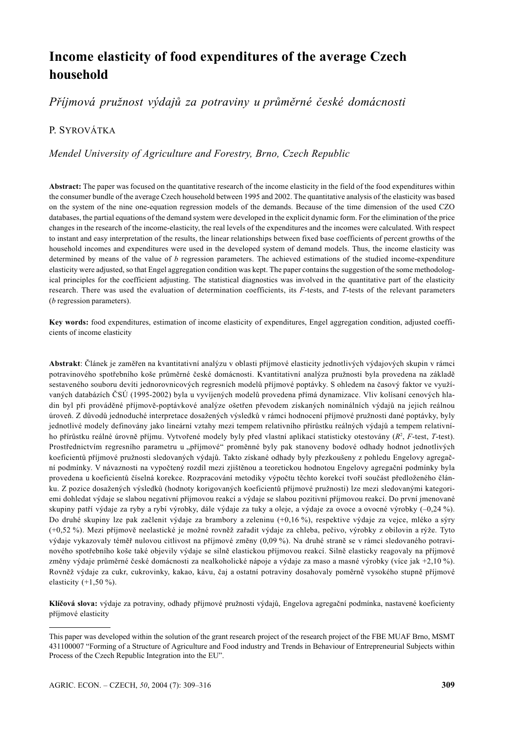# **Income elasticity of food expenditures of the average Czech household**

# *Příjmová pružnost výdajů za potraviny u průměrné české domácnosti*

# P. SYROVÁTKA

# *Mendel University of Agriculture and Forestry, Brno, Czech Republic*

**Abstract:** The paper was focused on the quantitative research of the income elasticity in the field of the food expenditures within the consumer bundle of the average Czech household between 1995 and 2002. The quantitative analysis of the elasticity was based on the system of the nine one-equation regression models of the demands. Because of the time dimension of the used CZO databases, the partial equations of the demand system were developed in the explicit dynamic form. For the elimination of the price changes in the research of the income-elasticity, the real levels of the expenditures and the incomes were calculated. With respect to instant and easy interpretation of the results, the linear relationships between fixed base coefficients of percent growths of the household incomes and expenditures were used in the developed system of demand models. Thus, the income elasticity was determined by means of the value of *b* regression parameters. The achieved estimations of the studied income-expenditure elasticity were adjusted, so that Engel aggregation condition was kept. The paper contains the suggestion of the some methodological principles for the coefficient adjusting. The statistical diagnostics was involved in the quantitative part of the elasticity research. There was used the evaluation of determination coefficients, its *F*-tests, and *T*-tests of the relevant parameters (*b* regression parameters).

**Key words:** food expenditures, estimation of income elasticity of expenditures, Engel aggregation condition, adjusted coefficients of income elasticity

**Abstrakt**: Článek je zaměřen na kvantitativní analýzu v oblasti příjmové elasticity jednotlivých výdajových skupin v rámci potravinového spotřebního koše průměrné české domácnosti. Kvantitativní analýza pružnosti byla provedena na základě sestaveného souboru devíti jednorovnicových regresních modelů příjmové poptávky. S ohledem na časový faktor ve využívaných databázích ČSÚ (1995-2002) byla u vyvíjených modelů provedena přímá dynamizace. Vliv kolísaní cenových hladin byl při prováděné příjmově-poptávkové analýze ošetřen převodem získaných nominálních výdajů na jejich reálnou úroveň. Z důvodů jednoduché interpretace dosažených výsledků v rámci hodnocení příjmové pružnosti dané poptávky, byly jednotlivé modely definovány jako lineární vztahy mezi tempem relativního přírůstku reálných výdajů a tempem relativního přírůstku reálné úrovně příjmu. Vytvořené modely byly před vlastní aplikací statisticky otestovány (*R*<sup>2</sup> , *F*-test, *T*-test). Prostřednictvím regresního parametru u "příjmové" proměnné byly pak stanoveny bodové odhady hodnot jednotlivých koeficientů příjmové pružnosti sledovaných výdajů. Takto získané odhady byly přezkoušeny z pohledu Engelovy agregační podmínky. V návaznosti na vypočtený rozdíl mezi zjištěnou a teoretickou hodnotou Engelovy agregační podmínky byla provedena u koeficientů číselná korekce. Rozpracování metodiky výpočtu těchto korekcí tvoří součást předloženého článku. Z pozice dosažených výsledků (hodnoty korigovaných koeficientů příjmové pružnosti) lze mezi sledovanými kategoriemi dohledat výdaje se slabou negativní příjmovou reakcí a výdaje se slabou pozitivní příjmovou reakcí. Do první jmenované skupiny patří výdaje za ryby a rybí výrobky, dále výdaje za tuky a oleje, a výdaje za ovoce a ovocné výrobky (–0,24 %). Do druhé skupiny lze pak začlenit výdaje za brambory a zeleninu (+0,16 %), respektive výdaje za vejce, mléko a sýry (+0,52 %). Mezi příjmově neelastické je možné rovněž zařadit výdaje za chleba, pečivo, výrobky z obilovin a rýže. Tyto výdaje vykazovaly téměř nulovou citlivost na příjmové změny (0,09 %). Na druhé straně se v rámci sledovaného potravinového spotřebního koše také objevily výdaje se silně elastickou příjmovou reakcí. Silně elasticky reagovaly na příjmové změny výdaje průměrné české domácnosti za nealkoholické nápoje a výdaje za maso a masné výrobky (více jak +2,10 %). Rovněž výdaje za cukr, cukrovinky, kakao, kávu, čaj a ostatní potraviny dosahovaly poměrně vysokého stupně příjmové elasticity  $(+1,50\%)$ .

**Klíčová slova:** výdaje za potraviny, odhady příjmové pružnosti výdajů, Engelova agregační podmínka, nastavené koeficienty příjmové elasticity

This paper was developed within the solution of the grant research project of the research project of the FBE MUAF Brno, MSMT 431100007 "Forming of a Structure of Agriculture and Food industry and Trends in Behaviour of Entrepreneurial Subjects within Process of the Czech Republic Integration into the EU".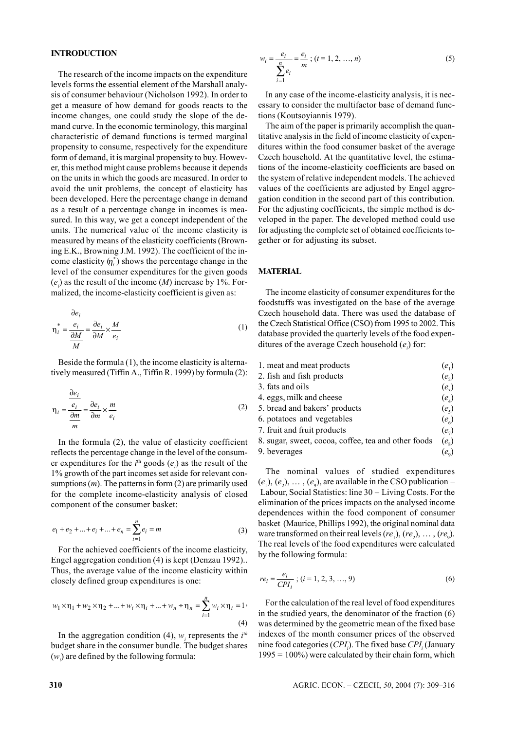# **INTRODUCTION**

The research of the income impacts on the expenditure levels forms the essential element of the Marshall analysis of consumer behaviour (Nicholson 1992). In order to get a measure of how demand for goods reacts to the income changes, one could study the slope of the demand curve. In the economic terminology, this marginal characteristic of demand functions is termed marginal propensity to consume, respectively for the expenditure form of demand, it is marginal propensity to buy. However, this method might cause problems because it depends on the units in which the goods are measured. In order to avoid the unit problems, the concept of elasticity has been developed. Here the percentage change in demand as a result of a percentage change in incomes is measured. In this way, we get a concept independent of the units. The numerical value of the income elasticity is measured by means of the elasticity coefficients (Browning E.K., Browning J.M. 1992). The coefficient of the income elasticity  $(\eta_i^*)$  shows the percentage change in the level of the consumer expenditures for the given goods  $(e_i)$  as the result of the income  $(M)$  increase by 1%. Formalized, the income-elasticity coefficient is given as:

$$
\eta_i^* = \frac{\frac{\partial e_i}{\partial u}}{\frac{\partial M}{\partial u}} = \frac{\partial e_i}{\partial M} \times \frac{M}{e_i}
$$
 (1)

Beside the formula (1), the income elasticity is alternatively measured (Tiffin A., Tiffin R. 1999) by formula (2):

$$
\eta_i = \frac{\frac{\partial e_i}{e_i}}{\frac{\partial m}{m}} = \frac{\partial e_i}{\partial m} \times \frac{m}{e_i}
$$
 (2)

In the formula (2), the value of elasticity coefficient reflects the percentage change in the level of the consumer expenditures for the  $i<sup>th</sup>$  goods  $(e_i)$  as the result of the 1% growth of the part incomes set aside for relevant consumptions (*m*). The patterns in form (2) are primarily used for the complete income-elasticity analysis of closed component of the consumer basket:

$$
e_1 + e_2 + \dots + e_i + \dots + e_n = \sum_{i=1}^n e_i = m
$$
 (3)

For the achieved coefficients of the income elasticity, Engel aggregation condition (4) is kept (Denzau 1992).. Thus, the average value of the income elasticity within closely defined group expenditures is one:

$$
w_1 \times \eta_1 + w_2 \times \eta_2 + ... + w_i \times \eta_i + ... + w_n + \eta_n = \sum_{i=1}^n w_i \times \eta_i = 1
$$
\n(4)

In the aggregation condition (4),  $w_i$  represents the  $i^{th}$ budget share in the consumer bundle. The budget shares  $(w_i)$  are defined by the following formula:

$$
w_i = \frac{e_i}{\sum_{i=1}^n} = \frac{e_i}{m} \; ; \; (t = 1, 2, ..., n)
$$
 (5)

In any case of the income-elasticity analysis, it is necessary to consider the multifactor base of demand functions (Koutsoyiannis 1979).

The aim of the paper is primarily accomplish the quantitative analysis in the field of income elasticity of expenditures within the food consumer basket of the average Czech household. At the quantitative level, the estimations of the income-elasticity coefficients are based on the system of relative independent models. The achieved values of the coefficients are adjusted by Engel aggregation condition in the second part of this contribution. For the adjusting coefficients, the simple method is developed in the paper. The developed method could use for adjusting the complete set of obtained coefficients together or for adjusting its subset.

### **MATERIAL**

The income elasticity of consumer expenditures for the foodstuffs was investigated on the base of the average Czech household data. There was used the database of the Czech Statistical Office (CSO) from 1995 to 2002. This database provided the quarterly levels of the food expenditures of the average Czech household ( $e_i$ ) for:

- 1. meat and meat products  $(e_1)$ 2. fish and fish products  $(e_{\lambda})$ 3. fats and oils  $(e_3)$ 4. eggs, milk and cheese  $(e_{4})$ 5. bread and bakers' products  $(e_{\zeta})$ 6. potatoes and vegetables  $(e_{\kappa})$ 7. fruit and fruit products  $(e_7)$ 8. sugar, sweet, cocoa, coffee, tea and other foods
- $(e_{\scriptscriptstyle 8})$ 9. beverages (*e*<sup>9</sup>  $(e_0)$
- The nominal values of studied expenditures  $(e_1)$ ,  $(e_2)$ , ...,  $(e_9)$ , are available in the CSO publication – Labour, Social Statistics: line 30 – Living Costs. For the elimination of the prices impacts on the analysed income dependences within the food component of consumer basket (Maurice, Phillips 1992), the original nominal data ware transformed on their real levels  $(re_1), (re_2), \ldots, (re_9)$ . The real levels of the food expenditures were calculated by the following formula:

$$
re_i = \frac{e_i}{CPI_i}
$$
;  $(i = 1, 2, 3, ..., 9)$  (6)

For the calculation of the real level of food expenditures in the studied years, the denominator of the fraction (6) was determined by the geometric mean of the fixed base indexes of the month consumer prices of the observed nine food categories (*CPI<sub>i</sub>*). The fixed base *CPI<sub>i</sub>* (January  $1995 = 100\%$ ) were calculated by their chain form, which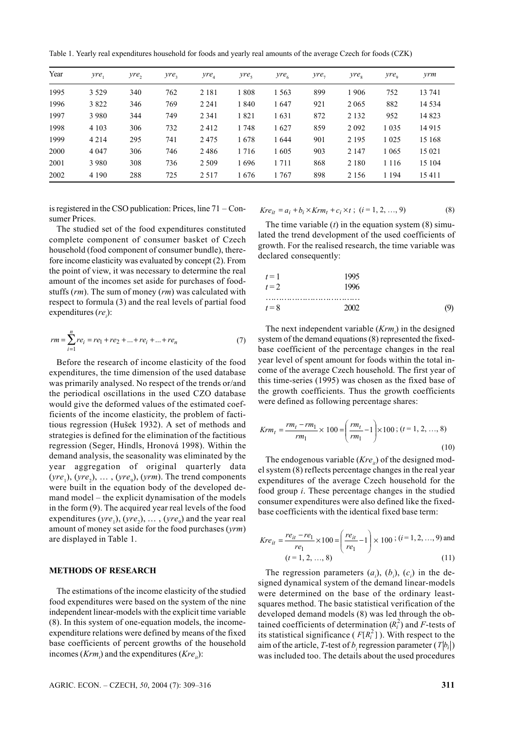Table 1. Yearly real expenditures household for foods and yearly real amounts of the average Czech for foods (CZK)

| Year | yre,    | yre, | yre <sub>3</sub> | $yre_{_4}$ | yre <sub>5</sub> | $yre_{6}$ | $yre_{\tau}$ | yre <sub>8</sub> | $yre_{\alpha}$ | yrm     |
|------|---------|------|------------------|------------|------------------|-----------|--------------|------------------|----------------|---------|
| 1995 | 3 5 2 9 | 340  | 762              | 2 1 8 1    | 1808             | 1563      | 899          | 1906             | 752            | 13741   |
| 1996 | 3822    | 346  | 769              | 2 2 4 1    | 1840             | 1647      | 921          | 2 0 6 5          | 882            | 14 5 34 |
| 1997 | 3 9 8 0 | 344  | 749              | 2 3 4 1    | 1821             | 1631      | 872          | 2 1 3 2          | 952            | 14823   |
| 1998 | 4 1 0 3 | 306  | 732              | 2412       | 1748             | 1627      | 859          | 2092             | 1 0 3 5        | 14915   |
| 1999 | 4 2 1 4 | 295  | 741              | 2475       | 1678             | 1644      | 901          | 2 1 9 5          | 1 0 2 5        | 15 168  |
| 2000 | 4 0 4 7 | 306  | 746              | 2486       | 1 7 1 6          | 1605      | 903          | 2 1 4 7          | 1 0 6 5        | 15 0 21 |
| 2001 | 3 9 8 0 | 308  | 736              | 2 5 0 9    | 1696             | 1711      | 868          | 2 1 8 0          | 1 1 1 6        | 15 104  |
| 2002 | 4 1 9 0 | 288  | 725              | 2 5 1 7    | 1676             | 1767      | 898          | 2 1 5 6          | 1 1 9 4        | 15411   |

is registered in the CSO publication: Prices, line 71 – Consumer Prices.

The studied set of the food expenditures constituted complete component of consumer basket of Czech household (food component of consumer bundle), therefore income elasticity was evaluated by concept (2). From the point of view, it was necessary to determine the real amount of the incomes set aside for purchases of foodstuffs (*rm*). The sum of money (*rm*) was calculated with respect to formula (3) and the real levels of partial food expenditures (*re*<sub>i</sub>):

$$
rm = \sum_{i=1}^{n} re_i = re_1 + re_2 + \dots + re_i + \dots + re_n
$$
 (7)

Before the research of income elasticity of the food expenditures, the time dimension of the used database was primarily analysed. No respect of the trends or/and the periodical oscillations in the used CZO database would give the deformed values of the estimated coefficients of the income elasticity, the problem of factitious regression (Hušek 1932). A set of methods and strategies is defined for the elimination of the factitious regression (Seger, Hindls, Hronová 1998). Within the demand analysis, the seasonality was eliminated by the year aggregation of original quarterly data  $(yre_1)$ ,  $(yre_2)$ , ...,  $(yre_9)$ ,  $(yrm)$ . The trend components were built in the equation body of the developed demand model – the explicit dynamisation of the models in the form (9). The acquired year real levels of the food expenditures ( $yre_1$ ), ( $yre_2$ ), ..., ( $yre_9$ ) and the year real amount of money set aside for the food purchases (*yrm*) are displayed in Table 1.

#### **METHODS OF RESEARCH**

The estimations of the income elasticity of the studied food expenditures were based on the system of the nine independent linear-models with the explicit time variable (8). In this system of one-equation models, the incomeexpenditure relations were defined by means of the fixed base coefficients of percent growths of the household incomes ( $Krm_t$ ) and the expenditures ( $Kre_{it}$ ):

$$
Kre_{it} = a_i + b_i \times Krm_t + c_i \times t \; ; \; (i = 1, 2, ..., 9)
$$
 (8)

The time variable  $(t)$  in the equation system  $(8)$  simulated the trend development of the used coefficients of growth. For the realised research, the time variable was declared consequently:

$$
t = 1
$$
  
\n
$$
t = 2
$$
  
\n
$$
t = 8
$$
  
\n
$$
t = 8
$$
  
\n
$$
t = 2002
$$
  
\n(9)

The next independent variable  $(Krm<sub>t</sub>)$  in the designed system of the demand equations (8) represented the fixedbase coefficient of the percentage changes in the real year level of spent amount for foods within the total income of the average Czech household. The first year of this time-series (1995) was chosen as the fixed base of the growth coefficients. Thus the growth coefficients were defined as following percentage shares:

$$
Krm_t = \frac{rm_t - rm_1}{rm_1} \times 100 = \left(\frac{rm_t}{rm_1} - 1\right) \times 100 \text{ ; } (t = 1, 2, ..., 8)
$$
\n(10)

The endogenous variable (*Kre*<sub>*i*</sub>) of the designed model system (8) reflects percentage changes in the real year expenditures of the average Czech household for the food group *i*. These percentage changes in the studied consumer expenditures were also defined like the fixedbase coefficients with the identical fixed base term:

$$
Kre_{it} = \frac{re_{it} - re_1}{re_1} \times 100 = \left(\frac{re_{it}}{re_1} - 1\right) \times 100 \, ; \, (i = 1, 2, ..., 9) \text{ and}
$$
\n
$$
(t = 1, 2, ..., 8) \tag{11}
$$

The regression parameters  $(a_i)$ ,  $(b_i)$ ,  $(c_i)$  in the designed dynamical system of the demand linear-models were determined on the base of the ordinary leastsquares method. The basic statistical verification of the developed demand models (8) was led through the obtained coefficients of determination  $(R_i^2)$  and *F*-tests of its statistical significance ( $F[R_i^2]$ ). With respect to the aim of the article, *T*-test of  $b_i$  regression parameter  $(T|b_i|)$ was included too. The details about the used procedures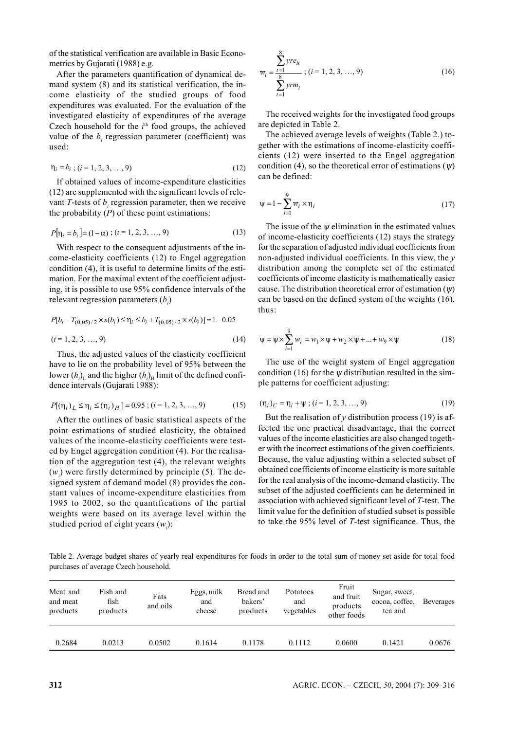of the statistical verification are available in Basic Econometrics by Gujarati (1988) e.g.

After the parameters quantification of dynamical demand system (8) and its statistical verification, the income elasticity of the studied groups of food expenditures was evaluated. For the evaluation of the investigated elasticity of expenditures of the average Czech household for the  $i<sup>th</sup>$  food groups, the achieved value of the  $b_i$  regression parameter (coefficient) was used:

$$
\eta_i = b_i \; ; \; (i = 1, 2, 3, \ldots, 9) \tag{12}
$$

If obtained values of income-expenditure elasticities (12) are supplemented with the significant levels of relevant *T*-tests of  $b_i$  regression parameter, then we receive the probability  $(P)$  of these point estimations:

$$
P[\eta_i = b_i] = (1 - \alpha) ; (i = 1, 2, 3, ..., 9)
$$
\n(13)

With respect to the consequent adjustments of the income-elasticity coefficients (12) to Engel aggregation condition (4), it is useful to determine limits of the estimation. For the maximal extent of the coefficient adjusting, it is possible to use 95% confidence intervals of the relevant regression parameters  $(b_i)$ 

$$
P[b_i - T_{(0,05)/2} \times s(b_i) \le \eta_i \le b_i + T_{(0,05)/2} \times s(b_i)] = 1 - 0.05
$$
  
(*i* = 1, 2, 3, ..., 9) (14)

Thus, the adjusted values of the elasticity coefficient have to lie on the probability level of 95% between the lower  $(h_i)$ <sub>L</sub> and the higher  $(h_i)$ <sub>H</sub> limit of the defined confidence intervals (Gujarati 1988):

$$
P[(\eta_i)_L \le \eta_i \le (\eta_i)_H] = 0.95 \; ; (i = 1, 2, 3, \dots, 9)
$$
 (15)

After the outlines of basic statistical aspects of the point estimations of studied elasticity, the obtained values of the income-elasticity coefficients were tested by Engel aggregation condition (4). For the realisation of the aggregation test (4), the relevant weights  $(w_i)$  were firstly determined by principle (5). The designed system of demand model (8) provides the constant values of income-expenditure elasticities from 1995 to 2002, so the quantifications of the partial weights were based on its average level within the studied period of eight years (*w*<sub>i</sub>):

$$
\overline{w}_{i} = \frac{\sum_{t=1}^{8} y r e_{it}}{\sum_{t=1}^{8} y r m_{t}}; (i = 1, 2, 3, ..., 9)
$$
\n(16)

The received weights for the investigated food groups are depicted in Table 2.

The achieved average levels of weights (Table 2.) together with the estimations of income-elasticity coefficients (12) were inserted to the Engel aggregation condition (4), so the theoretical error of estimations  $(\psi)$ can be defined:

$$
\psi = 1 - \sum_{i=1}^{9} \overline{w}_i \times \eta_i
$$
\n(17)

The issue of the  $\psi$  elimination in the estimated values of income-elasticity coefficients (12) stays the strategy for the separation of adjusted individual coefficients from non-adjusted individual coefficients. In this view, the *y* distribution among the complete set of the estimated coefficients of income elasticity is mathematically easier cause. The distribution theoretical error of estimation  $(\psi)$ can be based on the defined system of the weights (16), thus:

$$
\Psi = \Psi \times \sum_{i=1}^{9} \overline{w}_i = \overline{w}_1 \times \Psi + \overline{w}_2 \times \Psi + \dots + \overline{w}_9 \times \Psi
$$
 (18)

The use of the weight system of Engel aggregation condition (16) for the  $\psi$  distribution resulted in the simple patterns for coefficient adjusting:

$$
(\eta_i)_C = \eta_i + \psi \; ; \; (i = 1, 2, 3, \ldots, 9)
$$
 (19)

But the realisation of *y* distribution process (19) is affected the one practical disadvantage, that the correct values of the income elasticities are also changed together with the incorrect estimations of the given coefficients. Because, the value adjusting within a selected subset of obtained coefficients of income elasticity is more suitable for the real analysis of the income-demand elasticity. The subset of the adjusted coefficients can be determined in association with achieved significant level of *T*-test. The limit value for the definition of studied subset is possible to take the 95% level of *T*-test significance. Thus, the

Table 2. Average budget shares of yearly real expenditures for foods in order to the total sum of money set aside for total food purchases of average Czech household.

| Meat and<br>and meat<br>products | Fish and<br>fish<br>products | Fats<br>and oils | Eggs, milk<br>and<br>cheese | Bread and<br>bakers'<br>products | Potatoes<br>and<br>vegetables | Fruit<br>and fruit<br>products<br>other foods | Sugar, sweet,<br>cocoa, coffee.<br>tea and | <b>Beverages</b> |
|----------------------------------|------------------------------|------------------|-----------------------------|----------------------------------|-------------------------------|-----------------------------------------------|--------------------------------------------|------------------|
| 0.2684                           | 0.0213                       | 0.0502           | 0.1614                      | 0.1178                           | 0.1112                        | 0.0600                                        | 0.1421                                     | 0.0676           |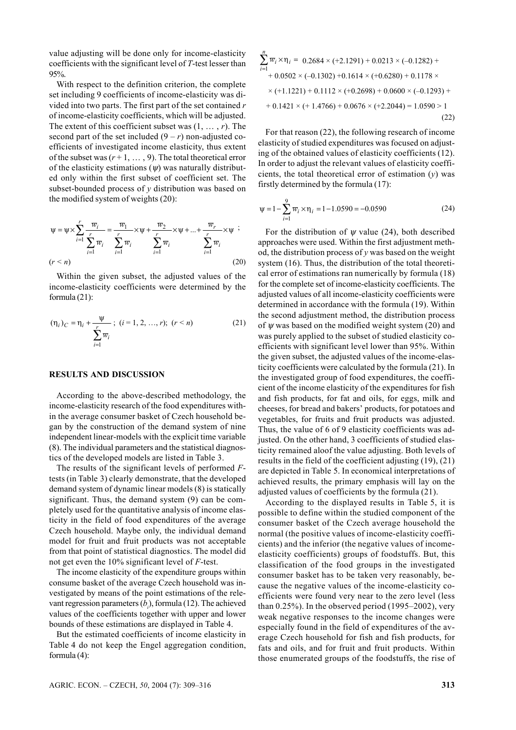value adjusting will be done only for income-elasticity coefficients with the significant level of *T*-test lesser than 95%.

With respect to the definition criterion, the complete set including 9 coefficients of income-elasticity was divided into two parts. The first part of the set contained *r* of income-elasticity coefficients, which will be adjusted. The extent of this coefficient subset was (1, … , *r*). The second part of the set included  $(9 - r)$  non-adjusted coefficients of investigated income elasticity, thus extent of the subset was  $(r+1, \ldots, 9)$ . The total theoretical error of the elasticity estimations  $(\psi)$  was naturally distributed only within the first subset of coefficient set. The subset-bounded process of *y* distribution was based on the modified system of weights (20):

$$
\psi = \psi \times \sum_{i=1}^{r} \frac{\overline{w}_{i}}{\sum_{i=1}^{r} \overline{w}_{i}} = \frac{\overline{w}_{1}}{\sum_{i=1}^{r} \overline{w}_{i}} \times \psi + \frac{\overline{w}_{2}}{\sum_{i=1}^{r} \overline{w}_{i}} \times \psi + ... + \frac{\overline{w}_{r}}{\sum_{i=1}^{r} \overline{w}_{i}} \times \psi \ ;
$$
\n
$$
(r < n) \tag{20}
$$

Within the given subset, the adjusted values of the income-elasticity coefficients were determined by the formula (21):

$$
(\eta_i)_C = \eta_i + \frac{\Psi}{\sum_{i=1}^r \overline{w}_i}; \ (i = 1, 2, ..., r); \ (r < n) \tag{21}
$$

#### **RESULTS AND DISCUSSION**

According to the above-described methodology, the income-elasticity research of the food expenditures within the average consumer basket of Czech household began by the construction of the demand system of nine independent linear-models with the explicit time variable (8). The individual parameters and the statistical diagnostics of the developed models are listed in Table 3.

The results of the significant levels of performed *F*tests (in Table 3) clearly demonstrate, that the developed demand system of dynamic linear models (8) is statically significant. Thus, the demand system (9) can be completely used for the quantitative analysis of income elasticity in the field of food expenditures of the average Czech household. Maybe only, the individual demand model for fruit and fruit products was not acceptable from that point of statistical diagnostics. The model did not get even the 10% significant level of *F*-test.

The income elasticity of the expenditure groups within consume basket of the average Czech household was investigated by means of the point estimations of the relevant regression parameters  $(b<sub>i</sub>)$ , formula (12). The achieved values of the coefficients together with upper and lower bounds of these estimations are displayed in Table 4.

But the estimated coefficients of income elasticity in Table 4 do not keep the Engel aggregation condition, formula (4):

$$
\sum_{i=1}^{n} \overline{w}_i \times \eta_i = 0.2684 \times (+2.1291) + 0.0213 \times (-0.1282) ++ 0.0502 \times (-0.1302) +0.1614 \times (+0.6280) + 0.1178 \times\times (+1.1221) + 0.1112 \times (+0.2698) + 0.0600 \times (-0.1293) ++ 0.1421 \times (+1.4766) + 0.0676 \times (+2.2044) = 1.0590 > 1
$$
\n(22)

For that reason (22), the following research of income elasticity of studied expenditures was focused on adjusting of the obtained values of elasticity coefficients (12). In order to adjust the relevant values of elasticity coefficients, the total theoretical error of estimation (*y*) was firstly determined by the formula (17):

$$
\psi = 1 - \sum_{i=1}^{9} \overline{w}_i \times \eta_i = 1 - 1.0590 = -0.0590
$$
 (24)

For the distribution of  $\psi$  value (24), both described approaches were used. Within the first adjustment method, the distribution process of *y* was based on the weight system (16). Thus, the distribution of the total theoretical error of estimations ran numerically by formula (18) for the complete set of income-elasticity coefficients. The adjusted values of all income-elasticity coefficients were determined in accordance with the formula (19). Within the second adjustment method, the distribution process of  $\psi$  was based on the modified weight system (20) and was purely applied to the subset of studied elasticity coefficients with significant level lower than 95%. Within the given subset, the adjusted values of the income-elasticity coefficients were calculated by the formula (21). In the investigated group of food expenditures, the coefficient of the income elasticity of the expenditures for fish and fish products, for fat and oils, for eggs, milk and cheeses, for bread and bakers' products, for potatoes and vegetables, for fruits and fruit products was adjusted. Thus, the value of 6 of 9 elasticity coefficients was adjusted. On the other hand, 3 coefficients of studied elasticity remained aloof the value adjusting. Both levels of results in the field of the coefficient adjusting (19), (21) are depicted in Table 5. In economical interpretations of achieved results, the primary emphasis will lay on the adjusted values of coefficients by the formula (21).

According to the displayed results in Table 5, it is possible to define within the studied component of the consumer basket of the Czech average household the normal (the positive values of income-elasticity coefficients) and the inferior (the negative values of incomeelasticity coefficients) groups of foodstuffs. But, this classification of the food groups in the investigated consumer basket has to be taken very reasonably, because the negative values of the income-elasticity coefficients were found very near to the zero level (less than  $0.25\%$ ). In the observed period (1995–2002), very weak negative responses to the income changes were especially found in the field of expenditures of the average Czech household for fish and fish products, for fats and oils, and for fruit and fruit products. Within those enumerated groups of the foodstuffs, the rise of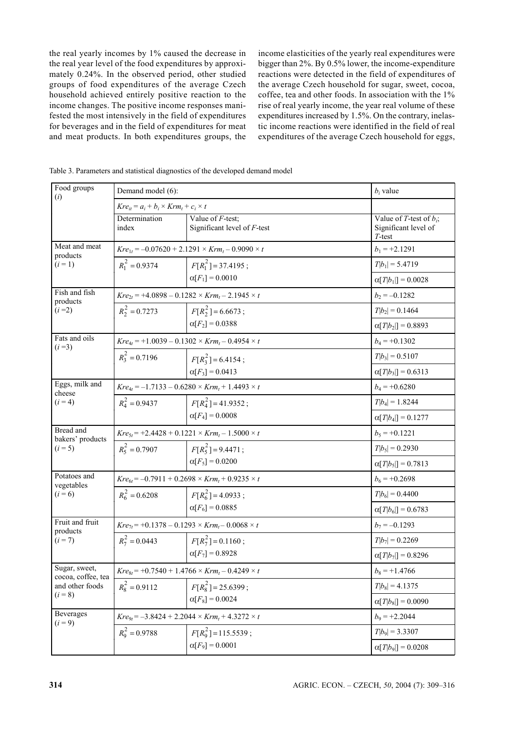the real yearly incomes by 1% caused the decrease in the real year level of the food expenditures by approximately 0.24%. In the observed period, other studied groups of food expenditures of the average Czech household achieved entirely positive reaction to the income changes. The positive income responses manifested the most intensively in the field of expenditures for beverages and in the field of expenditures for meat and meat products. In both expenditures groups, the income elasticities of the yearly real expenditures were bigger than 2%. By 0.5% lower, the income-expenditure reactions were detected in the field of expenditures of the average Czech household for sugar, sweet, cocoa, coffee, tea and other foods. In association with the 1% rise of real yearly income, the year real volume of these expenditures increased by 1.5%. On the contrary, inelastic income reactions were identified in the field of real expenditures of the average Czech household for eggs,

| Food groups                                | Demand model (6):                                    | $b_i$ value                                                   |                           |
|--------------------------------------------|------------------------------------------------------|---------------------------------------------------------------|---------------------------|
| (i)                                        | $Kre_{it} = a_i + b_i \times Krm_t + c_i \times t$   |                                                               |                           |
|                                            | Determination<br>index                               | Value of F-test;<br>Significant level of F-test               |                           |
| Meat and meat<br>products                  |                                                      | $Kre_{1t} = -0.07620 + 2.1291 \times Krm_t - 0.9090 \times t$ | $b_1 = +2.1291$           |
| $(i = 1)$                                  | $R_1^2 = 0.9374$                                     | $F[R_1^2] = 37.4195$ ;                                        | $T b_1 $ = 5.4719         |
|                                            |                                                      | $\alpha[F_1] = 0.0010$                                        | $\alpha[T b_1] = 0.0028$  |
| Fish and fish<br>products                  |                                                      | $Kre_{2t}$ = +4.0898 – 0.1282 × $Krm_t$ – 2.1945 × t          | $b_2 = -0.1282$           |
| $(i=2)$                                    | $R_2^2 = 0.7273$                                     | $F[R_2^2] = 6.6673$ ;                                         | $T b_2 =0.1464$           |
|                                            |                                                      | $\alpha[F_2] = 0.0388$                                        | $\alpha[T b_2 ] = 0.8893$ |
| Fats and oils<br>$(i=3)$                   |                                                      | $Kre_{4t}$ = +1.0039 – 0.1302 × $Krm_t$ – 0.4954 × t          | $b_4$ = +0.1302           |
|                                            | $R_3^2 = 0.7196$                                     | $F[R_3^2] = 6.4154$ ;                                         | $T b_3  = 0.5107$         |
|                                            |                                                      | $\alpha[F_3] = 0.0413$                                        | $\alpha[T b_3] = 0.6313$  |
| Eggs, milk and<br>cheese                   |                                                      | $Kre_{4t} = -1.7133 - 0.6280 \times Krm_t + 1.4493 \times t$  | $b_4$ = +0.6280           |
| $(i = 4)$                                  | $R_{4}^{2}=0.9437$                                   | $F[R_4^2] = 41.9352;$                                         | $T b_4  = 1.8244$         |
|                                            |                                                      | $\alpha[F_4] = 0.0008$                                        | $\alpha[T b_4] = 0.1277$  |
| Bread and<br>bakers' products<br>$(i = 5)$ |                                                      | $Kre_{5t}$ = +2.4428 + 0.1221 × $Krm_t$ – 1.5000 × t          | $b_5 = +0.1221$           |
|                                            |                                                      | $R_5^2 = 0.7907$ $F[R_5^2] = 9.4471$ ;                        | $T b_5  = 0.2930$         |
|                                            |                                                      | $\alpha[F_5] = 0.0200$                                        | $\alpha[T b_5] = 0.7813$  |
| Potatoes and<br>vegetables                 |                                                      | $Kre_{6t} = -0.7911 + 0.2698 \times Krm_t + 0.9235 \times t$  | $b_6$ = +0.2698           |
| $(i = 6)$                                  | $R_6^2 = 0.6208$                                     | $F[R_6^2] = 4.0933$ ;                                         | $T b_6  = 0.4400$         |
|                                            |                                                      | $\alpha[F_6] = 0.0885$                                        | $\alpha[T b_6] = 0.6783$  |
| Fruit and fruit<br>products                | $Kre_{7t}$ = +0.1378 – 0.1293 × $Krm_t$ – 0.0068 × t | $b_7 = -0.1293$                                               |                           |
| $(i = 7)$                                  | $R_7^2 = 0.0443$                                     | $F[R_7^2] = 0.1160$ ;                                         | $T b_7  = 0.2269$         |
|                                            |                                                      | $\alpha[F_7] = 0.8928$                                        | $\alpha[T b_7] = 0.8296$  |
| Sugar, sweet,<br>cocoa, coffee, tea        |                                                      | $Kre_{8t}$ = +0.7540 + 1.4766 × $Krm_t$ – 0.4249 × t          | $b_8 = +1.4766$           |
| and other foods                            | $R_8^2 = 0.9112$                                     | $F[R_8^2] = 25.6399;$                                         | $T b_8  = 4.1375$         |
| $(i = 8)$                                  | $\alpha[F_8] = 0.0024$                               |                                                               | $\alpha[T b_8] = 0.0090$  |
| Beverages<br>$(i = 9)$                     |                                                      | $Kre_{9t} = -3.8424 + 2.2044 \times Krm_t + 4.3272 \times t$  | $b_9 = +2.2044$           |
|                                            | $R_9^2 = 0.9788$                                     | $F[R_9^2] = 115.5539$ ;                                       | $T b_9  = 3.3307$         |
|                                            |                                                      | $\alpha[F_9] = 0.0001$                                        | $\alpha[T b_9] = 0.0208$  |

Table 3. Parameters and statistical diagnostics of the developed demand model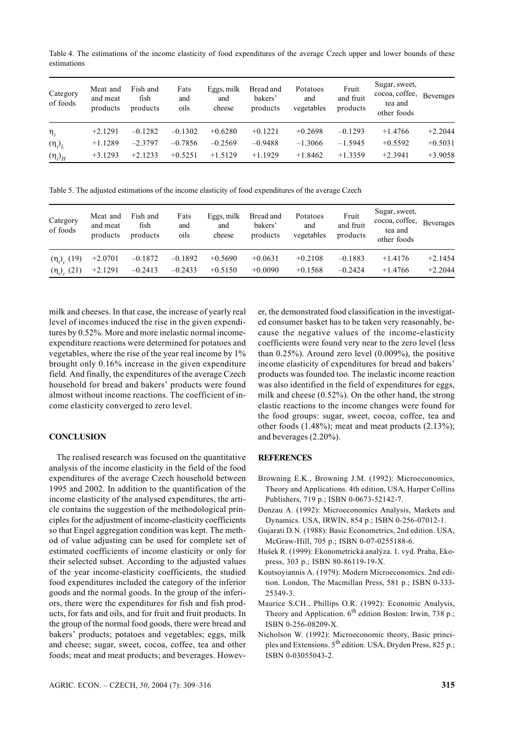Table 4. The estimations of the income elasticity of food expenditures of the average Czech upper and lower bounds of these estimations

| Category<br>of foods | Meat and<br>and meat<br>products | Fish and<br>fish<br>products | Fats<br>and<br>oils | Eggs, milk<br>and<br>cheese | Bread and<br>bakers'<br>products | Potatoes<br>and<br>vegetables | Fruit<br>and fruit<br>products | Sugar, sweet,<br>cocoa, coffee,<br>tea and<br>other foods | Beverages |
|----------------------|----------------------------------|------------------------------|---------------------|-----------------------------|----------------------------------|-------------------------------|--------------------------------|-----------------------------------------------------------|-----------|
| $\eta_i$             | $+2.1291$                        | $-0.1282$                    | $-0.1302$           | $+0.6280$                   | $+0.1221$                        | $+0.2698$                     | $-0.1293$                      | $+1.4766$                                                 | $+2.2044$ |
| $(\eta_i)_L$         | $+1.1289$                        | $-2.3797$                    | $-0.7856$           | $-0.2569$                   | $-0.9488$                        | $-1.3066$                     | $-1.5945$                      | $+0.5592$                                                 | $+0.5031$ |
| $(\eta_i)_H$         | $+3.1293$                        | $+2.1233$                    | $+0.5251$           | $+1.5129$                   | $+1.1929$                        | $+1.8462$                     | $+1.3359$                      | $+2.3941$                                                 | $+3.9058$ |

Table 5. The adjusted estimations of the income elasticity of food expenditures of the average Czech

| Category<br>of foods | Meat and<br>and meat<br>products | Fish and<br>fish<br>products | Fats<br>and<br>oils | Eggs, milk<br>and<br>cheese | Bread and<br>bakers'<br>products | Potatoes<br>and<br>vegetables | Fruit<br>and fruit<br>products | Sugar, sweet,<br>cocoa, coffee,<br>tea and<br>other foods | Beverages |
|----------------------|----------------------------------|------------------------------|---------------------|-----------------------------|----------------------------------|-------------------------------|--------------------------------|-----------------------------------------------------------|-----------|
| $(\eta_i)_{c}$ (19)  | $+2.0701$                        | $-0.1872$                    | $-0.1892$           | $+0.5690$                   | $+0.0631$                        | $+0.2108$                     | $-0.1883$                      | $+1.4176$                                                 | $+2.1454$ |
| $(\eta_i)_c$ (21)    | $+2.1291$                        | $-0.2413$                    | $-0.2433$           | $+0.5150$                   | $+0.0090$                        | $+0.1568$                     | $-0.2424$                      | $+1.4766$                                                 | $+2.2044$ |

milk and cheeses. In that case, the increase of yearly real level of incomes induced the rise in the given expenditures by 0.52%. More and more inelastic normal incomeexpenditure reactions were determined for potatoes and vegetables, where the rise of the year real income by 1% brought only 0.16% increase in the given expenditure field. And finally, the expenditures of the average Czech household for bread and bakers' products were found almost without income reactions. The coefficient of income elasticity converged to zero level.

### **CONCLUSION**

The realised research was focused on the quantitative analysis of the income elasticity in the field of the food expenditures of the average Czech household between 1995 and 2002. In addition to the quantification of the income elasticity of the analysed expenditures, the article contains the suggestion of the methodological principles for the adjustment of income-elasticity coefficients so that Engel aggregation condition was kept. The method of value adjusting can be used for complete set of estimated coefficients of income elasticity or only for their selected subset. According to the adjusted values of the year income-elasticity coefficients, the studied food expenditures included the category of the inferior goods and the normal goods. In the group of the inferiors, there were the expenditures for fish and fish products, for fats and oils, and for fruit and fruit products. In the group of the normal food goods, there were bread and bakers' products; potatoes and vegetables; eggs, milk and cheese; sugar, sweet, cocoa, coffee, tea and other foods; meat and meat products; and beverages. However, the demonstrated food classification in the investigated consumer basket has to be taken very reasonably, because the negative values of the income-elasticity coefficients were found very near to the zero level (less than  $0.25\%$ ). Around zero level  $(0.009\%)$ , the positive income elasticity of expenditures for bread and bakers' products was founded too. The inelastic income reaction was also identified in the field of expenditures for eggs, milk and cheese (0.52%). On the other hand, the strong elastic reactions to the income changes were found for the food groups: sugar, sweet, cocoa, coffee, tea and other foods (1.48%); meat and meat products (2.13%); and beverages (2.20%).

# **REFERENCES**

- Browning E.K., Browning J.M. (1992): Microeconomics, Theory and Applications. 4th edition, USA, Harper Collins Publishers, 719 p.; ISBN 0-0673-52142-7.
- Denzau A. (1992): Microeconomics Analysis, Markets and Dynamics. USA, IRWIN, 854 p.; ISBN 0-256-07012-1.
- Gujarati D.N. (1988): Basic Econometrics, 2nd edition. USA, McGraw-Hill, 705 p.; ISBN 0-07-0255188-6.
- Hušek R. (1999): Ekonometrická analýza. 1. vyd. Praha, Ekopress, 303 p.; ISBN 80-86119-19-X.
- Koutsoyiannis A. (1979): Modern Microeconomics. 2nd edition. London, The Macmillan Press, 581 p.; ISBN 0-333- 25349-3.
- Maurice S.CH., Phillips O.R. (1992): Economic Analysis, Theory and Application.  $6^{th}$  edition Boston: Irwin, 738 p.; ISBN 0-256-08209-X.
- Nicholson W. (1992): Microeconomic theory, Basic principles and Extensions. 5<sup>th</sup> edition. USA, Dryden Press, 825 p.; ISBN 0-03055043-2.